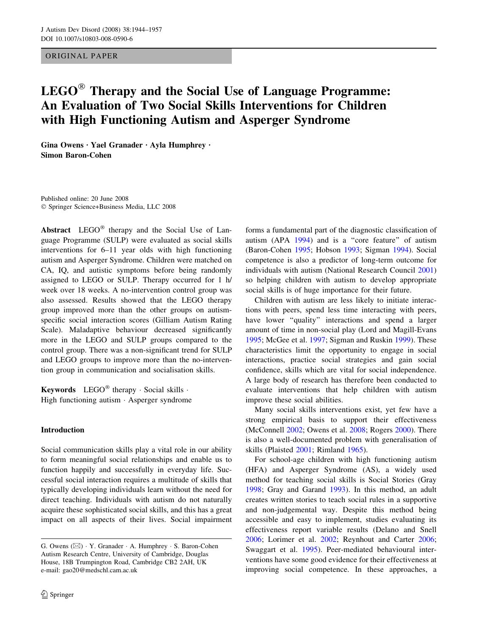## ORIGINAL PAPER

# $LEGO^{\circledR}$  Therapy and the Social Use of Language Programme: An Evaluation of Two Social Skills Interventions for Children with High Functioning Autism and Asperger Syndrome

Gina Owens  $\cdot$  Yael Granader  $\cdot$  Ayla Humphrey  $\cdot$ Simon Baron-Cohen

Published online: 20 June 2008 - Springer Science+Business Media, LLC 2008

Abstract  $LEGO^{\circledast}$  therapy and the Social Use of Language Programme (SULP) were evaluated as social skills interventions for 6–11 year olds with high functioning autism and Asperger Syndrome. Children were matched on CA, IQ, and autistic symptoms before being randomly assigned to LEGO or SULP. Therapy occurred for 1 h/ week over 18 weeks. A no-intervention control group was also assessed. Results showed that the LEGO therapy group improved more than the other groups on autismspecific social interaction scores (Gilliam Autism Rating Scale). Maladaptive behaviour decreased significantly more in the LEGO and SULP groups compared to the control group. There was a non-significant trend for SULP and LEGO groups to improve more than the no-intervention group in communication and socialisation skills.

**Keywords** LEGO<sup>®</sup> therapy  $\cdot$  Social skills  $\cdot$ High functioning autism · Asperger syndrome

## Introduction

Social communication skills play a vital role in our ability to form meaningful social relationships and enable us to function happily and successfully in everyday life. Successful social interaction requires a multitude of skills that typically developing individuals learn without the need for direct teaching. Individuals with autism do not naturally acquire these sophisticated social skills, and this has a great impact on all aspects of their lives. Social impairment

forms a fundamental part of the diagnostic classification of autism (APA [1994\)](#page-11-0) and is a ''core feature'' of autism (Baron-Cohen [1995](#page-11-0); Hobson [1993;](#page-12-0) Sigman [1994\)](#page-12-0). Social competence is also a predictor of long-term outcome for individuals with autism (National Research Council [2001\)](#page-12-0) so helping children with autism to develop appropriate social skills is of huge importance for their future.

Children with autism are less likely to initiate interactions with peers, spend less time interacting with peers, have lower "quality" interactions and spend a larger amount of time in non-social play (Lord and Magill-Evans [1995](#page-12-0); McGee et al. [1997;](#page-12-0) Sigman and Ruskin [1999\)](#page-13-0). These characteristics limit the opportunity to engage in social interactions, practice social strategies and gain social confidence, skills which are vital for social independence. A large body of research has therefore been conducted to evaluate interventions that help children with autism improve these social abilities.

Many social skills interventions exist, yet few have a strong empirical basis to support their effectiveness (McConnell [2002](#page-12-0); Owens et al. [2008;](#page-12-0) Rogers [2000](#page-12-0)). There is also a well-documented problem with generalisation of skills (Plaisted [2001;](#page-12-0) Rimland [1965\)](#page-12-0).

For school-age children with high functioning autism (HFA) and Asperger Syndrome (AS), a widely used method for teaching social skills is Social Stories (Gray [1998](#page-12-0); Gray and Garand [1993\)](#page-12-0). In this method, an adult creates written stories to teach social rules in a supportive and non-judgemental way. Despite this method being accessible and easy to implement, studies evaluating its effectiveness report variable results (Delano and Snell [2006](#page-12-0); Lorimer et al. [2002;](#page-12-0) Reynhout and Carter [2006](#page-12-0); Swaggart et al. [1995](#page-13-0)). Peer-mediated behavioural interventions have some good evidence for their effectiveness at improving social competence. In these approaches, a

G. Owens  $(\boxtimes) \cdot Y$ . Granader  $\cdot$  A. Humphrey  $\cdot$  S. Baron-Cohen Autism Research Centre, University of Cambridge, Douglas House, 18B Trumpington Road, Cambridge CB2 2AH, UK e-mail: gao20@medschl.cam.ac.uk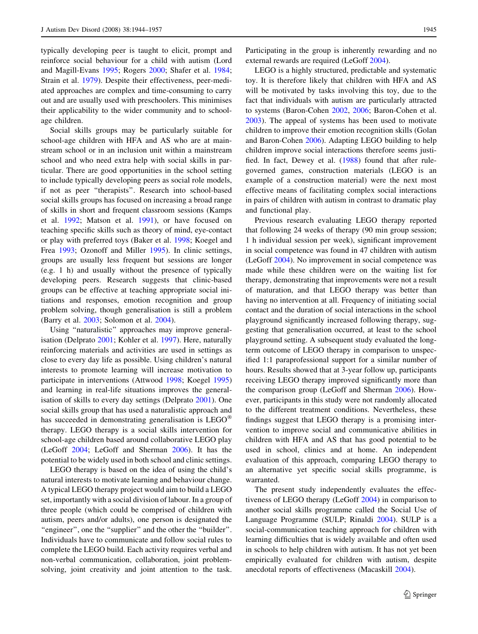typically developing peer is taught to elicit, prompt and reinforce social behaviour for a child with autism (Lord and Magill-Evans [1995](#page-12-0); Rogers [2000;](#page-12-0) Shafer et al. [1984](#page-12-0); Strain et al. [1979](#page-13-0)). Despite their effectiveness, peer-mediated approaches are complex and time-consuming to carry out and are usually used with preschoolers. This minimises their applicability to the wider community and to schoolage children.

Social skills groups may be particularly suitable for school-age children with HFA and AS who are at mainstream school or in an inclusion unit within a mainstream school and who need extra help with social skills in particular. There are good opportunities in the school setting to include typically developing peers as social role models, if not as peer ''therapists''. Research into school-based social skills groups has focused on increasing a broad range of skills in short and frequent classroom sessions (Kamps et al. [1992](#page-12-0); Matson et al. [1991](#page-12-0)), or have focused on teaching specific skills such as theory of mind, eye-contact or play with preferred toys (Baker et al. [1998;](#page-11-0) Koegel and Frea [1993](#page-12-0); Ozonoff and Miller [1995](#page-12-0)). In clinic settings, groups are usually less frequent but sessions are longer (e.g. 1 h) and usually without the presence of typically developing peers. Research suggests that clinic-based groups can be effective at teaching appropriate social initiations and responses, emotion recognition and group problem solving, though generalisation is still a problem (Barry et al. [2003](#page-12-0); Solomon et al. [2004](#page-13-0)).

Using ''naturalistic'' approaches may improve generalisation (Delprato [2001;](#page-12-0) Kohler et al. [1997](#page-12-0)). Here, naturally reinforcing materials and activities are used in settings as close to every day life as possible. Using children's natural interests to promote learning will increase motivation to participate in interventions (Attwood [1998;](#page-11-0) Koegel [1995\)](#page-12-0) and learning in real-life situations improves the generalisation of skills to every day settings (Delprato [2001\)](#page-12-0). One social skills group that has used a naturalistic approach and has succeeded in demonstrating generalisation is  $LEGO^{\otimes}$ therapy. LEGO therapy is a social skills intervention for school-age children based around collaborative LEGO play (LeGoff [2004](#page-12-0); LeGoff and Sherman [2006](#page-12-0)). It has the potential to be widely used in both school and clinic settings.

LEGO therapy is based on the idea of using the child's natural interests to motivate learning and behaviour change. A typical LEGO therapy project would aim to build a LEGO set, importantly with a social division of labour. In a group of three people (which could be comprised of children with autism, peers and/or adults), one person is designated the ''engineer'', one the ''supplier'' and the other the ''builder''. Individuals have to communicate and follow social rules to complete the LEGO build. Each activity requires verbal and non-verbal communication, collaboration, joint problemsolving, joint creativity and joint attention to the task.

Participating in the group is inherently rewarding and no external rewards are required (LeGoff [2004\)](#page-12-0).

LEGO is a highly structured, predictable and systematic toy. It is therefore likely that children with HFA and AS will be motivated by tasks involving this toy, due to the fact that individuals with autism are particularly attracted to systems (Baron-Cohen [2002,](#page-11-0) [2006;](#page-11-0) Baron-Cohen et al. [2003](#page-11-0)). The appeal of systems has been used to motivate children to improve their emotion recognition skills (Golan and Baron-Cohen [2006\)](#page-12-0). Adapting LEGO building to help children improve social interactions therefore seems justified. In fact, Dewey et al. [\(1988](#page-12-0)) found that after rulegoverned games, construction materials (LEGO is an example of a construction material) were the next most effective means of facilitating complex social interactions in pairs of children with autism in contrast to dramatic play and functional play.

Previous research evaluating LEGO therapy reported that following 24 weeks of therapy (90 min group session; 1 h individual session per week), significant improvement in social competence was found in 47 children with autism (LeGoff [2004\)](#page-12-0). No improvement in social competence was made while these children were on the waiting list for therapy, demonstrating that improvements were not a result of maturation, and that LEGO therapy was better than having no intervention at all. Frequency of initiating social contact and the duration of social interactions in the school playground significantly increased following therapy, suggesting that generalisation occurred, at least to the school playground setting. A subsequent study evaluated the longterm outcome of LEGO therapy in comparison to unspecified 1:1 paraprofessional support for a similar number of hours. Results showed that at 3-year follow up, participants receiving LEGO therapy improved significantly more than the comparison group (LeGoff and Sherman [2006](#page-12-0)). However, participants in this study were not randomly allocated to the different treatment conditions. Nevertheless, these findings suggest that LEGO therapy is a promising intervention to improve social and communicative abilities in children with HFA and AS that has good potential to be used in school, clinics and at home. An independent evaluation of this approach, comparing LEGO therapy to an alternative yet specific social skills programme, is warranted.

The present study independently evaluates the effectiveness of LEGO therapy (LeGoff [2004](#page-12-0)) in comparison to another social skills programme called the Social Use of Language Programme (SULP; Rinaldi [2004\)](#page-12-0). SULP is a social-communication teaching approach for children with learning difficulties that is widely available and often used in schools to help children with autism. It has not yet been empirically evaluated for children with autism, despite anecdotal reports of effectiveness (Macaskill [2004](#page-12-0)).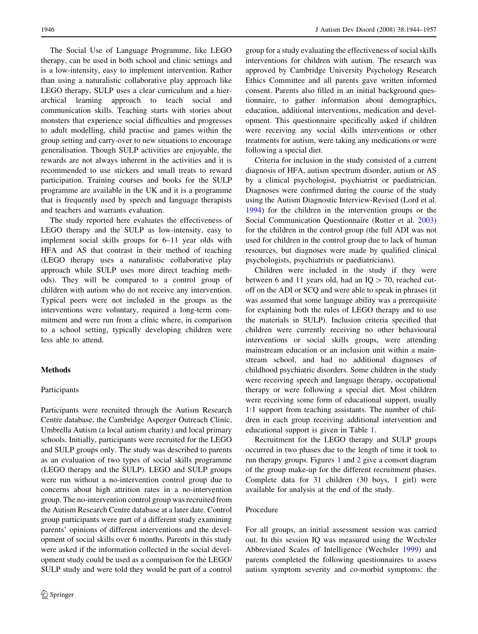The Social Use of Language Programme, like LEGO therapy, can be used in both school and clinic settings and is a low-intensity, easy to implement intervention. Rather than using a naturalistic collaborative play approach like LEGO therapy, SULP uses a clear curriculum and a hierarchical learning approach to teach social and communication skills. Teaching starts with stories about monsters that experience social difficulties and progresses to adult modelling, child practise and games within the group setting and carry-over to new situations to encourage generalisation. Though SULP activities are enjoyable, the rewards are not always inherent in the activities and it is recommended to use stickers and small treats to reward participation. Training courses and books for the SULP programme are available in the UK and it is a programme that is frequently used by speech and language therapists and teachers and warrants evaluation.

The study reported here evaluates the effectiveness of LEGO therapy and the SULP as low-intensity, easy to implement social skills groups for 6–11 year olds with HFA and AS that contrast in their method of teaching (LEGO therapy uses a naturalistic collaborative play approach while SULP uses more direct teaching methods). They will be compared to a control group of children with autism who do not receive any intervention. Typical peers were not included in the groups as the interventions were voluntary, required a long-term commitment and were run from a clinic where, in comparison to a school setting, typically developing children were less able to attend.

### Methods

#### Participants

Participants were recruited through the Autism Research Centre database, the Cambridge Asperger Outreach Clinic, Umbrella Autism (a local autism charity) and local primary schools. Initially, participants were recruited for the LEGO and SULP groups only. The study was described to parents as an evaluation of two types of social skills programme (LEGO therapy and the SULP). LEGO and SULP groups were run without a no-intervention control group due to concerns about high attrition rates in a no-intervention group. The no-intervention control group was recruited from the Autism Research Centre database at a later date. Control group participants were part of a different study examining parents' opinions of different interventions and the development of social skills over 6 months. Parents in this study were asked if the information collected in the social development study could be used as a comparison for the LEGO/ SULP study and were told they would be part of a control group for a study evaluating the effectiveness of social skills interventions for children with autism. The research was approved by Cambridge University Psychology Research Ethics Committee and all parents gave written informed consent. Parents also filled in an initial background questionnaire, to gather information about demographics, education, additional interventions, medication and development. This questionnaire specifically asked if children were receiving any social skills interventions or other treatments for autism, were taking any medications or were following a special diet.

Criteria for inclusion in the study consisted of a current diagnosis of HFA, autism spectrum disorder, autism or AS by a clinical psychologist, psychiatrist or paediatrician. Diagnoses were confirmed during the course of the study using the Autism Diagnostic Interview-Revised (Lord et al. [1994](#page-12-0)) for the children in the intervention groups or the Social Communication Questionnaire (Rutter et al. [2003\)](#page-12-0) for the children in the control group (the full ADI was not used for children in the control group due to lack of human resources, but diagnoses were made by qualified clinical psychologists, psychiatrists or paediatricians).

Children were included in the study if they were between 6 and 11 years old, had an  $IQ > 70$ , reached cutoff on the ADI or SCQ and were able to speak in phrases (it was assumed that some language ability was a prerequisite for explaining both the rules of LEGO therapy and to use the materials in SULP). Inclusion criteria specified that children were currently receiving no other behavioural interventions or social skills groups, were attending mainstream education or an inclusion unit within a mainstream school, and had no additional diagnoses of childhood psychiatric disorders. Some children in the study were receiving speech and language therapy, occupational therapy or were following a special diet. Most children were receiving some form of educational support, usually 1:1 support from teaching assistants. The number of children in each group receiving additional intervention and educational support is given in Table [1.](#page-3-0)

Recruitment for the LEGO therapy and SULP groups occurred in two phases due to the length of time it took to run therapy groups. Figures [1](#page-4-0) and [2](#page-5-0) give a consort diagram of the group make-up for the different recruitment phases. Complete data for 31 children (30 boys, 1 girl) were available for analysis at the end of the study.

# Procedure

For all groups, an initial assessment session was carried out. In this session IQ was measured using the Wechsler Abbreviated Scales of Intelligence (Wechsler [1999\)](#page-13-0) and parents completed the following questionnaires to assess autism symptom severity and co-morbid symptoms: the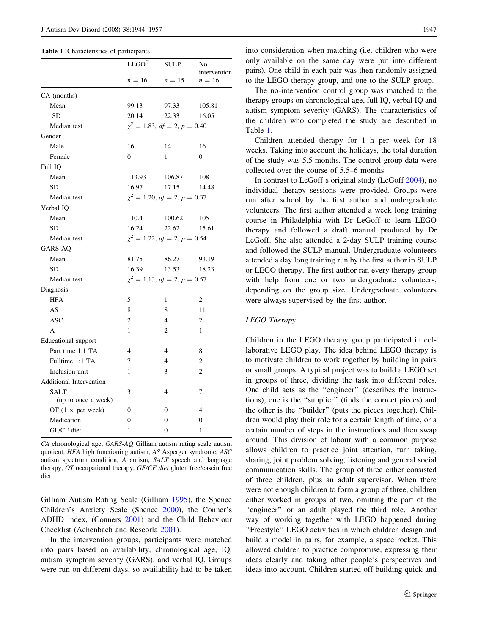<span id="page-3-0"></span>

| Table 1 Characteristics of participants |  |
|-----------------------------------------|--|
|-----------------------------------------|--|

|                            | $LEGO^{\circledR}$                      | <b>SULP</b>                       | N <sub>0</sub><br>intervention |  |  |  |
|----------------------------|-----------------------------------------|-----------------------------------|--------------------------------|--|--|--|
|                            | $n = 16$                                | $n = 15$                          | $n = 16$                       |  |  |  |
| CA (months)                |                                         |                                   |                                |  |  |  |
| Mean                       | 99.13                                   | 97.33                             | 105.81                         |  |  |  |
| SD                         | 20.14                                   | 22.33                             | 16.05                          |  |  |  |
| Median test                | $\chi^2 = 1.83$ , $df = 2$ , $p = 0.40$ |                                   |                                |  |  |  |
| Gender                     |                                         |                                   |                                |  |  |  |
| Male                       | 16                                      | 14                                | 16                             |  |  |  |
| Female                     | $\overline{0}$                          | 1                                 | $\overline{0}$                 |  |  |  |
| Full IQ                    |                                         |                                   |                                |  |  |  |
| Mean                       | 113.93                                  | 106.87                            | 108                            |  |  |  |
| <b>SD</b>                  |                                         | 16.97 17.15                       | 14.48                          |  |  |  |
| Median test                | $\chi^2 = 1.20, df = 2, p = 0.37$       |                                   |                                |  |  |  |
| Verbal IQ                  |                                         |                                   |                                |  |  |  |
| Mean                       | 110.4                                   | 100.62                            | 105                            |  |  |  |
| <b>SD</b>                  | 16.24                                   | 22.62                             | 15.61                          |  |  |  |
| Median test                |                                         | $\chi^2 = 1.22, df = 2, p = 0.54$ |                                |  |  |  |
| <b>GARS AQ</b>             |                                         |                                   |                                |  |  |  |
| Mean                       | 81.75                                   | 86.27                             | 93.19                          |  |  |  |
| <b>SD</b>                  | 16.39                                   | 13.53                             | 18.23                          |  |  |  |
| Median test                | $\chi^2 = 1.13$ , $df = 2$ , $p = 0.57$ |                                   |                                |  |  |  |
| Diagnosis                  |                                         |                                   |                                |  |  |  |
| <b>HFA</b>                 | 5                                       | 1                                 | 2                              |  |  |  |
| AS                         | 8                                       | 8                                 | 11                             |  |  |  |
| <b>ASC</b>                 | 2                                       | 4                                 | 2                              |  |  |  |
| A                          | 1                                       | 2                                 | 1                              |  |  |  |
| <b>Educational</b> support |                                         |                                   |                                |  |  |  |
| Part time 1:1 TA           | 4                                       | 4                                 | 8                              |  |  |  |
| Fulltime 1:1 TA            | 7                                       | 4                                 | 2                              |  |  |  |
| Inclusion unit             | 1                                       | 3                                 | $\overline{2}$                 |  |  |  |
| Additional Intervention    |                                         |                                   |                                |  |  |  |
| <b>SALT</b>                | 3                                       | 4                                 | 7                              |  |  |  |
| (up to once a week)        |                                         |                                   |                                |  |  |  |
| OT $(1 \times per week)$   | 0                                       | $\boldsymbol{0}$                  | 4                              |  |  |  |
| Medication                 | 0                                       | 0                                 | $\boldsymbol{0}$               |  |  |  |
| GF/CF diet                 | 1                                       | $\overline{0}$                    | 1                              |  |  |  |

CA chronological age, GARS-AQ Gilliam autism rating scale autism quotient, HFA high functioning autism, AS Asperger syndrome, ASC autism spectrum condition, A autism, SALT speech and language therapy, OT occupational therapy, GF/CF diet gluten free/casein free diet

Gilliam Autism Rating Scale (Gilliam [1995\)](#page-12-0), the Spence Children's Anxiety Scale (Spence [2000\)](#page-13-0), the Conner's ADHD index, (Conners [2001\)](#page-12-0) and the Child Behaviour Checklist (Achenbach and Rescorla [2001\)](#page-11-0).

In the intervention groups, participants were matched into pairs based on availability, chronological age, IQ, autism symptom severity (GARS), and verbal IQ. Groups were run on different days, so availability had to be taken into consideration when matching (i.e. children who were only available on the same day were put into different pairs). One child in each pair was then randomly assigned to the LEGO therapy group, and one to the SULP group.

The no-intervention control group was matched to the therapy groups on chronological age, full IQ, verbal IQ and autism symptom severity (GARS). The characteristics of the children who completed the study are described in Table 1.

Children attended therapy for 1 h per week for 18 weeks. Taking into account the holidays, the total duration of the study was 5.5 months. The control group data were collected over the course of 5.5–6 months.

In contrast to LeGoff's original study (LeGoff [2004\)](#page-12-0), no individual therapy sessions were provided. Groups were run after school by the first author and undergraduate volunteers. The first author attended a week long training course in Philadelphia with Dr LeGoff to learn LEGO therapy and followed a draft manual produced by Dr LeGoff. She also attended a 2-day SULP training course and followed the SULP manual. Undergraduate volunteers attended a day long training run by the first author in SULP or LEGO therapy. The first author ran every therapy group with help from one or two undergraduate volunteers, depending on the group size. Undergraduate volunteers were always supervised by the first author.

#### LEGO Therapy

Children in the LEGO therapy group participated in collaborative LEGO play. The idea behind LEGO therapy is to motivate children to work together by building in pairs or small groups. A typical project was to build a LEGO set in groups of three, dividing the task into different roles. One child acts as the ''engineer'' (describes the instructions), one is the ''supplier'' (finds the correct pieces) and the other is the ''builder'' (puts the pieces together). Children would play their role for a certain length of time, or a certain number of steps in the instructions and then swap around. This division of labour with a common purpose allows children to practice joint attention, turn taking, sharing, joint problem solving, listening and general social communication skills. The group of three either consisted of three children, plus an adult supervisor. When there were not enough children to form a group of three, children either worked in groups of two, omitting the part of the "engineer" or an adult played the third role. Another way of working together with LEGO happened during ''Freestyle'' LEGO activities in which children design and build a model in pairs, for example, a space rocket. This allowed children to practice compromise, expressing their ideas clearly and taking other people's perspectives and ideas into account. Children started off building quick and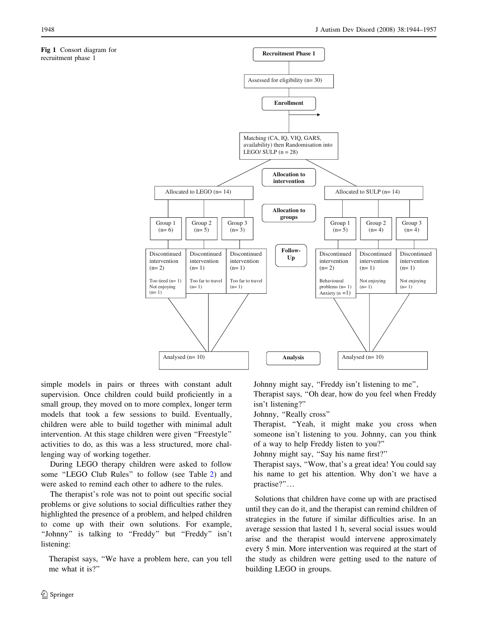# recruitment phase 1

<span id="page-4-0"></span>

simple models in pairs or threes with constant adult supervision. Once children could build proficiently in a small group, they moved on to more complex, longer term models that took a few sessions to build. Eventually, children were able to build together with minimal adult intervention. At this stage children were given ''Freestyle'' activities to do, as this was a less structured, more challenging way of working together.

During LEGO therapy children were asked to follow some "LEGO Club Rules" to follow (see Table [2\)](#page-5-0) and were asked to remind each other to adhere to the rules.

The therapist's role was not to point out specific social problems or give solutions to social difficulties rather they highlighted the presence of a problem, and helped children to come up with their own solutions. For example, ''Johnny'' is talking to ''Freddy'' but ''Freddy'' isn't listening:

Therapist says, ''We have a problem here, can you tell me what it is?''

Johnny might say, ''Freddy isn't listening to me'', Therapist says, ''Oh dear, how do you feel when Freddy isn't listening?''

Johnny, ''Really cross''

Therapist, "Yeah, it might make you cross when someone isn't listening to you. Johnny, can you think of a way to help Freddy listen to you?''

Johnny might say, ''Say his name first?''

Therapist says, ''Wow, that's a great idea! You could say his name to get his attention. Why don't we have a practise?''…

Solutions that children have come up with are practised until they can do it, and the therapist can remind children of strategies in the future if similar difficulties arise. In an average session that lasted 1 h, several social issues would arise and the therapist would intervene approximately every 5 min. More intervention was required at the start of the study as children were getting used to the nature of building LEGO in groups.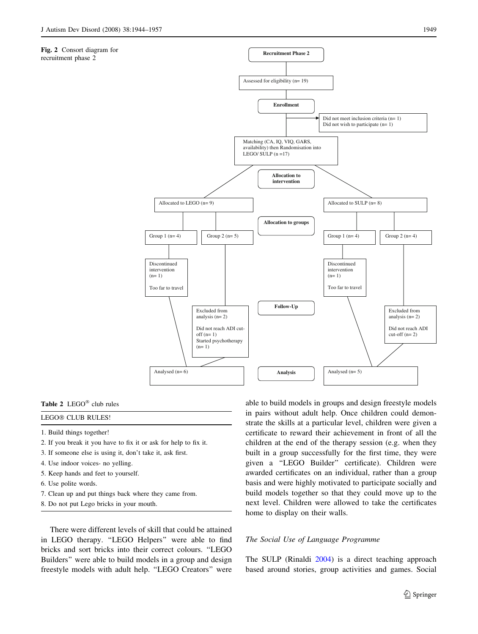# recruitment phase 2

<span id="page-5-0"></span>

#### Table 2  $LEGO^{\circledR}$  club rules

#### LEGO® CLUB RULES!

- 1. Build things together!
- 2. If you break it you have to fix it or ask for help to fix it.
- 3. If someone else is using it, don't take it, ask first.
- 4. Use indoor voices- no yelling.
- 5. Keep hands and feet to yourself.
- 6. Use polite words.
- 7. Clean up and put things back where they came from.
- 8. Do not put Lego bricks in your mouth.

There were different levels of skill that could be attained in LEGO therapy. "LEGO Helpers" were able to find bricks and sort bricks into their correct colours. ''LEGO Builders'' were able to build models in a group and design freestyle models with adult help. ''LEGO Creators'' were able to build models in groups and design freestyle models in pairs without adult help. Once children could demonstrate the skills at a particular level, children were given a certificate to reward their achievement in front of all the children at the end of the therapy session (e.g. when they built in a group successfully for the first time, they were given a ''LEGO Builder'' certificate). Children were awarded certificates on an individual, rather than a group basis and were highly motivated to participate socially and build models together so that they could move up to the next level. Children were allowed to take the certificates home to display on their walls.

## The Social Use of Language Programme

The SULP (Rinaldi [2004\)](#page-12-0) is a direct teaching approach based around stories, group activities and games. Social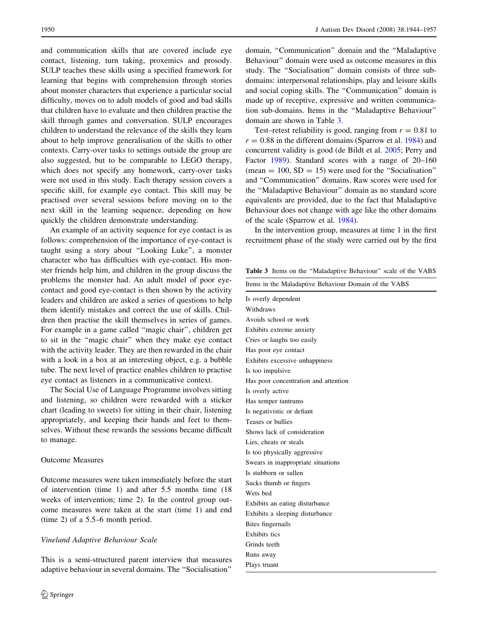and communication skills that are covered include eye contact, listening, turn taking, proxemics and prosody. SULP teaches these skills using a specified framework for learning that begins with comprehension through stories about monster characters that experience a particular social difficulty, moves on to adult models of good and bad skills that children have to evaluate and then children practise the skill through games and conversation. SULP encourages children to understand the relevance of the skills they learn about to help improve generalisation of the skills to other contexts. Carry-over tasks to settings outside the group are also suggested, but to be comparable to LEGO therapy, which does not specify any homework, carry-over tasks were not used in this study. Each therapy session covers a specific skill, for example eye contact. This skill may be practised over several sessions before moving on to the next skill in the learning sequence, depending on how quickly the children demonstrate understanding.

An example of an activity sequence for eye contact is as follows: comprehension of the importance of eye-contact is taught using a story about ''Looking Luke'', a monster character who has difficulties with eye-contact. His monster friends help him, and children in the group discuss the problems the monster had. An adult model of poor eyecontact and good eye-contact is then shown by the activity leaders and children are asked a series of questions to help them identify mistakes and correct the use of skills. Children then practise the skill themselves in series of games. For example in a game called "magic chair", children get to sit in the ''magic chair'' when they make eye contact with the activity leader. They are then rewarded in the chair with a look in a box at an interesting object, e.g. a bubble tube. The next level of practice enables children to practise eye contact as listeners in a communicative context.

The Social Use of Language Programme involves sitting and listening, so children were rewarded with a sticker chart (leading to sweets) for sitting in their chair, listening appropriately, and keeping their hands and feet to themselves. Without these rewards the sessions became difficult to manage.

# Outcome Measures

Outcome measures were taken immediately before the start of intervention (time 1) and after 5.5 months time (18 weeks of intervention; time 2). In the control group outcome measures were taken at the start (time 1) and end (time 2) of a 5.5–6 month period.

#### Vineland Adaptive Behaviour Scale

This is a semi-structured parent interview that measures adaptive behaviour in several domains. The ''Socialisation''

domain, ''Communication'' domain and the ''Maladaptive Behaviour'' domain were used as outcome measures in this study. The ''Socialisation'' domain consists of three subdomains: interpersonal relationships, play and leisure skills and social coping skills. The ''Communication'' domain is made up of receptive, expressive and written communication sub-domains. Items in the ''Maladaptive Behaviour'' domain are shown in Table 3.

Test–retest reliability is good, ranging from  $r = 0.81$  to  $r = 0.88$  in the different domains (Sparrow et al. [1984](#page-13-0)) and concurrent validity is good (de Bildt et al. [2005;](#page-12-0) Perry and Factor [1989](#page-12-0)). Standard scores with a range of 20–160 (mean  $= 100$ , SD  $= 15$ ) were used for the "Socialisation" and ''Communication'' domains. Raw scores were used for the ''Maladaptive Behaviour'' domain as no standard score equivalents are provided, due to the fact that Maladaptive Behaviour does not change with age like the other domains of the scale (Sparrow et al. [1984\)](#page-13-0).

In the intervention group, measures at time 1 in the first recruitment phase of the study were carried out by the first

Table 3 Items on the ''Maladaptive Behaviour'' scale of the VABS

| Items in the Maladaptive Behaviour Domain of the VABS |  |  |  |
|-------------------------------------------------------|--|--|--|
| Is overly dependent                                   |  |  |  |
| Withdraws                                             |  |  |  |
| Avoids school or work                                 |  |  |  |
| Exhibits extreme anxiety                              |  |  |  |
| Cries or laughs too easily                            |  |  |  |
| Has poor eye contact                                  |  |  |  |
| Exhibits excessive unhappiness                        |  |  |  |
| Is too impulsive                                      |  |  |  |
| Has poor concentration and attention                  |  |  |  |
| Is overly active                                      |  |  |  |
| Has temper tantrums                                   |  |  |  |
| Is negativistic or defiant                            |  |  |  |
| Teases or bullies                                     |  |  |  |
| Shows lack of consideration                           |  |  |  |
| Lies, cheats or steals                                |  |  |  |
| Is too physically aggressive                          |  |  |  |
| Swears in inappropriate situations                    |  |  |  |
| Is stubborn or sullen                                 |  |  |  |
| Sucks thumb or fingers                                |  |  |  |
| Wets bed                                              |  |  |  |
| Exhibits an eating disturbance                        |  |  |  |
| Exhibits a sleeping disturbance                       |  |  |  |
| Bites fingernails                                     |  |  |  |
| Exhibits tics                                         |  |  |  |
| Grinds teeth                                          |  |  |  |
| Runs away                                             |  |  |  |
| Plays truant                                          |  |  |  |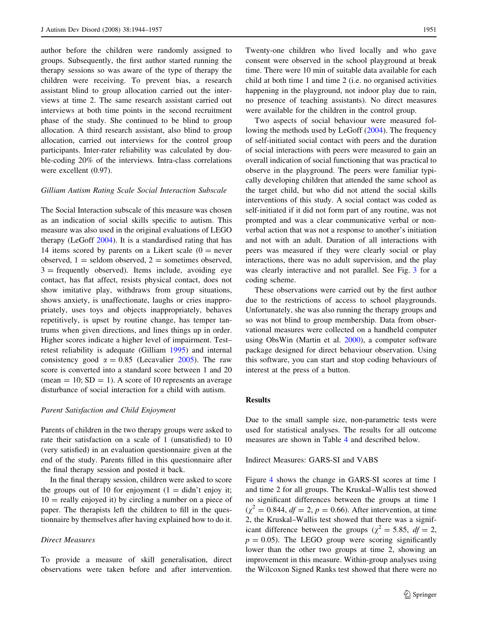author before the children were randomly assigned to groups. Subsequently, the first author started running the therapy sessions so was aware of the type of therapy the children were receiving. To prevent bias, a research assistant blind to group allocation carried out the interviews at time 2. The same research assistant carried out interviews at both time points in the second recruitment phase of the study. She continued to be blind to group allocation. A third research assistant, also blind to group allocation, carried out interviews for the control group participants. Inter-rater reliability was calculated by double-coding 20% of the interviews. Intra-class correlations were excellent (0.97).

### Gilliam Autism Rating Scale Social Interaction Subscale

The Social Interaction subscale of this measure was chosen as an indication of social skills specific to autism. This measure was also used in the original evaluations of LEGO therapy (LeGoff [2004\)](#page-12-0). It is a standardised rating that has 14 items scored by parents on a Likert scale  $(0 =$  never observed,  $1 =$  seldom observed,  $2 =$  sometimes observed,  $3 =$  frequently observed). Items include, avoiding eye contact, has flat affect, resists physical contact, does not show imitative play, withdraws from group situations, shows anxiety, is unaffectionate, laughs or cries inappropriately, uses toys and objects inappropriately, behaves repetitively, is upset by routine change, has temper tantrums when given directions, and lines things up in order. Higher scores indicate a higher level of impairment. Test– retest reliability is adequate (Gilliam [1995](#page-12-0)) and internal consistency good  $\alpha = 0.85$  (Lecavalier [2005\)](#page-12-0). The raw score is converted into a standard score between 1 and 20 (mean  $= 10$ ; SD  $= 1$ ). A score of 10 represents an average disturbance of social interaction for a child with autism.

# Parent Satisfaction and Child Enjoyment

Parents of children in the two therapy groups were asked to rate their satisfaction on a scale of 1 (unsatisfied) to 10 (very satisfied) in an evaluation questionnaire given at the end of the study. Parents filled in this questionnaire after the final therapy session and posted it back.

In the final therapy session, children were asked to score the groups out of 10 for enjoyment  $(1 - \text{diam't enjoy it};$  $10 =$  really enjoyed it) by circling a number on a piece of paper. The therapists left the children to fill in the questionnaire by themselves after having explained how to do it.

## Direct Measures

To provide a measure of skill generalisation, direct observations were taken before and after intervention.

Twenty-one children who lived locally and who gave consent were observed in the school playground at break time. There were 10 min of suitable data available for each child at both time 1 and time 2 (i.e. no organised activities happening in the playground, not indoor play due to rain, no presence of teaching assistants). No direct measures were available for the children in the control group.

Two aspects of social behaviour were measured following the methods used by LeGoff [\(2004](#page-12-0)). The frequency of self-initiated social contact with peers and the duration of social interactions with peers were measured to gain an overall indication of social functioning that was practical to observe in the playground. The peers were familiar typically developing children that attended the same school as the target child, but who did not attend the social skills interventions of this study. A social contact was coded as self-initiated if it did not form part of any routine, was not prompted and was a clear communicative verbal or nonverbal action that was not a response to another's initiation and not with an adult. Duration of all interactions with peers was measured if they were clearly social or play interactions, there was no adult supervision, and the play was clearly interactive and not parallel. See Fig. [3](#page-8-0) for a coding scheme.

These observations were carried out by the first author due to the restrictions of access to school playgrounds. Unfortunately, she was also running the therapy groups and so was not blind to group membership. Data from observational measures were collected on a handheld computer using ObsWin (Martin et al. [2000](#page-12-0)), a computer software package designed for direct behaviour observation. Using this software, you can start and stop coding behaviours of interest at the press of a button.

# Results

Due to the small sample size, non-parametric tests were used for statistical analyses. The results for all outcome measures are shown in Table [4](#page-9-0) and described below.

Indirect Measures: GARS-SI and VABS

Figure [4](#page-9-0) shows the change in GARS-SI scores at time 1 and time 2 for all groups. The Kruskal–Wallis test showed no significant differences between the groups at time 1  $\left(\chi^2=0.844, df=2, p=0.66\right)$ . After intervention, at time 2, the Kruskal–Wallis test showed that there was a significant difference between the groups ( $\gamma^2 = 5.85$ ,  $df = 2$ ,  $p = 0.05$ ). The LEGO group were scoring significantly lower than the other two groups at time 2, showing an improvement in this measure. Within-group analyses using the Wilcoxon Signed Ranks test showed that there were no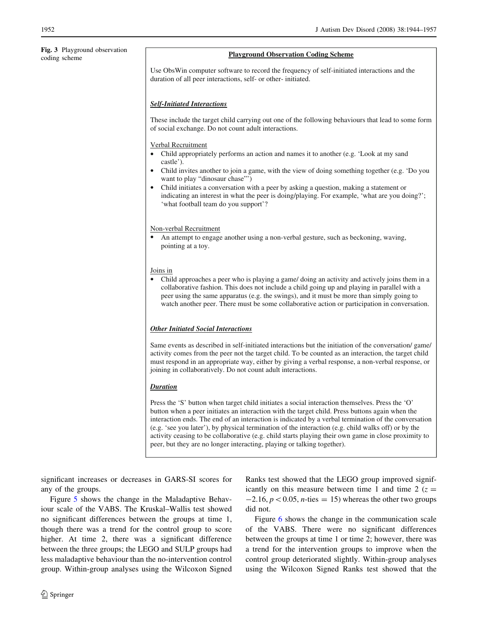<span id="page-8-0"></span>Fig. 3 Playground observation coding scheme

## **Playground Observation Coding Scheme**

Use ObsWin computer software to record the frequency of self-initiated interactions and the duration of all peer interactions, self- or other- initiated.

## *Self-Initiated Interactions*

These include the target child carrying out one of the following behaviours that lead to some form of social exchange. Do not count adult interactions.

Verbal Recruitment

- Child appropriately performs an action and names it to another (e.g. 'Look at my sand castle').
- $\bullet$ Child invites another to join a game, with the view of doing something together (e.g. 'Do you want to play "dinosaur chase"')
- Child initiates a conversation with a peer by asking a question, making a statement or indicating an interest in what the peer is doing/playing. For example, 'what are you doing?'; 'what football team do you support'?

#### Non-verbal Recruitment

An attempt to engage another using a non-verbal gesture, such as beckoning, waving, pointing at a toy.

#### Joins in

Child approaches a peer who is playing a game/ doing an activity and actively joins them in a collaborative fashion. This does not include a child going up and playing in parallel with a peer using the same apparatus (e.g. the swings), and it must be more than simply going to watch another peer. There must be some collaborative action or participation in conversation.

## *Other Initiated Social Interactions*

Same events as described in self-initiated interactions but the initiation of the conversation/ game/ activity comes from the peer not the target child. To be counted as an interaction, the target child must respond in an appropriate way, either by giving a verbal response, a non-verbal response, or joining in collaboratively. Do not count adult interactions.

## *Duration*

Press the 'S' button when target child initiates a social interaction themselves. Press the 'O' button when a peer initiates an interaction with the target child. Press buttons again when the interaction ends. The end of an interaction is indicated by a verbal termination of the conversation (e.g. 'see you later'), by physical termination of the interaction (e.g. child walks off) or by the activity ceasing to be collaborative (e.g. child starts playing their own game in close proximity to peer, but they are no longer interacting, playing or talking together).

significant increases or decreases in GARS-SI scores for any of the groups.

Figure [5](#page-9-0) shows the change in the Maladaptive Behaviour scale of the VABS. The Kruskal–Wallis test showed no significant differences between the groups at time 1, though there was a trend for the control group to score higher. At time 2, there was a significant difference between the three groups; the LEGO and SULP groups had less maladaptive behaviour than the no-intervention control group. Within-group analyses using the Wilcoxon Signed Ranks test showed that the LEGO group improved significantly on this measure between time 1 and time 2 ( $z =$  $-2.16$ ,  $p < 0.05$ , *n*-ties = 15) whereas the other two groups did not.

Figure [6](#page-9-0) shows the change in the communication scale of the VABS. There were no significant differences between the groups at time 1 or time 2; however, there was a trend for the intervention groups to improve when the control group deteriorated slightly. Within-group analyses using the Wilcoxon Signed Ranks test showed that the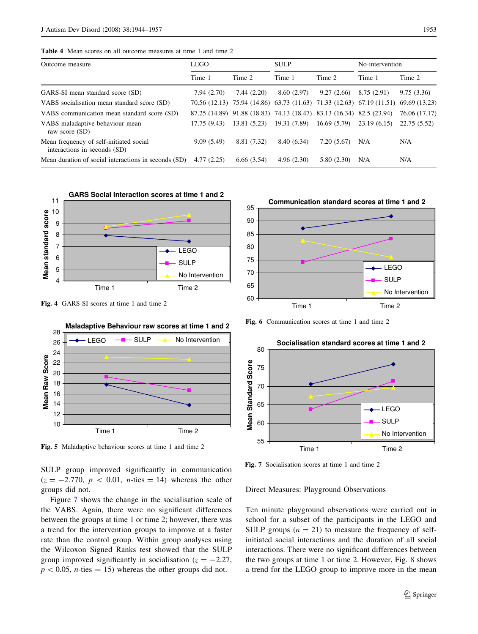<span id="page-9-0"></span>Table 4 Mean scores on all outcome measures at time 1 and time 2

| Outcome measure                                                         | LEGO         |             | <b>SULP</b>                                                           |              | No-intervention |               |
|-------------------------------------------------------------------------|--------------|-------------|-----------------------------------------------------------------------|--------------|-----------------|---------------|
|                                                                         | Time 1       | Time 2      | Time 1                                                                | Time 2       | Time 1          | Time 2        |
| GARS-SI mean standard score (SD)                                        | 7.94 (2.70)  | 7.44 (2.20) | 8.60(2.97)                                                            | 9.27(2.66)   | 8.75(2.91)      | 9.75(3.36)    |
| VABS socialisation mean standard score (SD)                             |              |             | 70.56 (12.13) 75.94 (14.86) 63.73 (11.63) 71.33 (12.63) 67.19 (11.51) |              |                 | 69.69 (13.23) |
| VABS communication mean standard score (SD)                             |              |             | 87.25 (14.89) 91.88 (18.83) 74.13 (18.47) 83.13 (16.34) 82.5 (23.94)  |              |                 | 76.06 (17.17) |
| VABS maladaptive behaviour mean<br>raw score (SD)                       | 17.75 (9.43) | 13.81(5.23) | 19.31 (7.89)                                                          | 16.69 (5.79) | 23.19(6.15)     | 22.75 (5.52)  |
| Mean frequency of self-initiated social<br>interactions in seconds (SD) | 9.09(5.49)   | 8.81 (7.32) | 8.40 (6.34)                                                           | 7.20(5.67)   | N/A             | N/A           |
| Mean duration of social interactions in seconds (SD)                    | 4.77(2.25)   | 6.66(3.54)  | 4.96(2.30)                                                            | 5.80(2.30)   | N/A             | N/A           |

60



Fig. 4 GARS-SI scores at time 1 and time 2



Fig. 5 Maladaptive behaviour scores at time 1 and time 2

SULP group improved significantly in communication  $(z = -2.770, p < 0.01, n$ -ties = 14) whereas the other groups did not.

Figure 7 shows the change in the socialisation scale of the VABS. Again, there were no significant differences between the groups at time 1 or time 2; however, there was a trend for the intervention groups to improve at a faster rate than the control group. Within group analyses using the Wilcoxon Signed Ranks test showed that the SULP group improved significantly in socialisation ( $z = -2.27$ ,  $p < 0.05$ , *n*-ties = 15) whereas the other groups did not.

**Communication standard scores at time 1 and 2** 65 70 75 80 85 90 95 LEGO **SULP** No Intervention

Time 1 Time 2

Fig. 6 Communication scores at time 1 and time 2



Fig. 7 Socialisation scores at time 1 and time 2

Direct Measures: Playground Observations

Ten minute playground observations were carried out in school for a subset of the participants in the LEGO and SULP groups  $(n = 21)$  to measure the frequency of selfinitiated social interactions and the duration of all social interactions. There were no significant differences between the two groups at time 1 or time 2. However, Fig. [8](#page-10-0) shows a trend for the LEGO group to improve more in the mean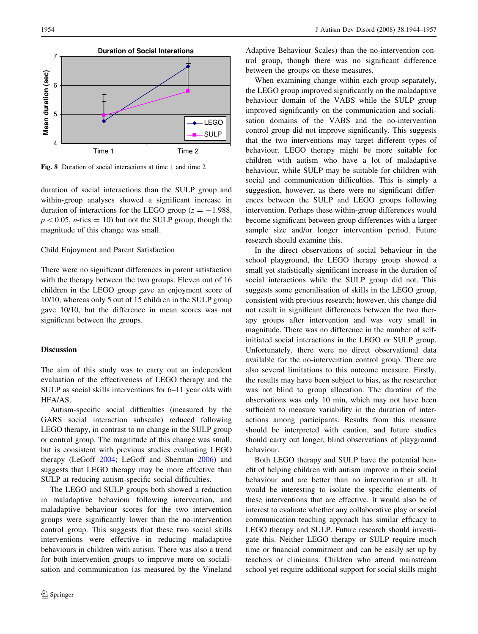<span id="page-10-0"></span>

Fig. 8 Duration of social interactions at time 1 and time 2

duration of social interactions than the SULP group and within-group analyses showed a significant increase in duration of interactions for the LEGO group ( $z = -1.988$ ,  $p < 0.05$ , n-ties = 10) but not the SULP group, though the magnitude of this change was small.

## Child Enjoyment and Parent Satisfaction

There were no significant differences in parent satisfaction with the therapy between the two groups. Eleven out of 16 children in the LEGO group gave an enjoyment score of 10/10, whereas only 5 out of 15 children in the SULP group gave 10/10, but the difference in mean scores was not significant between the groups.

# Discussion

The aim of this study was to carry out an independent evaluation of the effectiveness of LEGO therapy and the SULP as social skills interventions for 6–11 year olds with HFA/AS.

Autism-specific social difficulties (measured by the GARS social interaction subscale) reduced following LEGO therapy, in contrast to no change in the SULP group or control group. The magnitude of this change was small, but is consistent with previous studies evaluating LEGO therapy (LeGoff [2004;](#page-12-0) LeGoff and Sherman [2006](#page-12-0)) and suggests that LEGO therapy may be more effective than SULP at reducing autism-specific social difficulties.

The LEGO and SULP groups both showed a reduction in maladaptive behaviour following intervention, and maladaptive behaviour scores for the two intervention groups were significantly lower than the no-intervention control group. This suggests that these two social skills interventions were effective in reducing maladaptive behaviours in children with autism. There was also a trend for both intervention groups to improve more on socialisation and communication (as measured by the Vineland

Adaptive Behaviour Scales) than the no-intervention control group, though there was no significant difference between the groups on these measures.

When examining change within each group separately, the LEGO group improved significantly on the maladaptive behaviour domain of the VABS while the SULP group improved significantly on the communication and socialisation domains of the VABS and the no-intervention control group did not improve significantly. This suggests that the two interventions may target different types of behaviour. LEGO therapy might be more suitable for children with autism who have a lot of maladaptive behaviour, while SULP may be suitable for children with social and communication difficulties. This is simply a suggestion, however, as there were no significant differences between the SULP and LEGO groups following intervention. Perhaps these within-group differences would become significant between group differences with a larger sample size and/or longer intervention period. Future research should examine this.

In the direct observations of social behaviour in the school playground, the LEGO therapy group showed a small yet statistically significant increase in the duration of social interactions while the SULP group did not. This suggests some generalisation of skills in the LEGO group, consistent with previous research; however, this change did not result in significant differences between the two therapy groups after intervention and was very small in magnitude. There was no difference in the number of selfinitiated social interactions in the LEGO or SULP group. Unfortunately, there were no direct observational data available for the no-intervention control group. There are also several limitations to this outcome measure. Firstly, the results may have been subject to bias, as the researcher was not blind to group allocation. The duration of the observations was only 10 min, which may not have been sufficient to measure variability in the duration of interactions among participants. Results from this measure should be interpreted with caution, and future studies should carry out longer, blind observations of playground behaviour.

Both LEGO therapy and SULP have the potential benefit of helping children with autism improve in their social behaviour and are better than no intervention at all. It would be interesting to isolate the specific elements of these interventions that are effective. It would also be of interest to evaluate whether any collaborative play or social communication teaching approach has similar efficacy to LEGO therapy and SULP. Future research should investigate this. Neither LEGO therapy or SULP require much time or financial commitment and can be easily set up by teachers or clinicians. Children who attend mainstream school yet require additional support for social skills might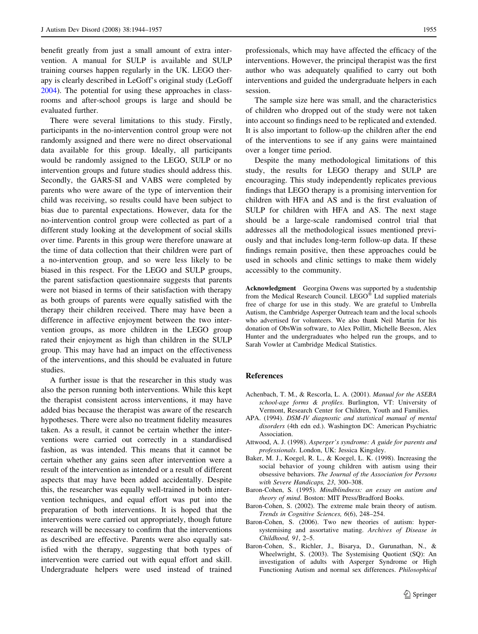<span id="page-11-0"></span>benefit greatly from just a small amount of extra intervention. A manual for SULP is available and SULP training courses happen regularly in the UK. LEGO therapy is clearly described in LeGoff's original study (LeGoff [2004\)](#page-12-0). The potential for using these approaches in classrooms and after-school groups is large and should be evaluated further.

There were several limitations to this study. Firstly, participants in the no-intervention control group were not randomly assigned and there were no direct observational data available for this group. Ideally, all participants would be randomly assigned to the LEGO, SULP or no intervention groups and future studies should address this. Secondly, the GARS-SI and VABS were completed by parents who were aware of the type of intervention their child was receiving, so results could have been subject to bias due to parental expectations. However, data for the no-intervention control group were collected as part of a different study looking at the development of social skills over time. Parents in this group were therefore unaware at the time of data collection that their children were part of a no-intervention group, and so were less likely to be biased in this respect. For the LEGO and SULP groups, the parent satisfaction questionnaire suggests that parents were not biased in terms of their satisfaction with therapy as both groups of parents were equally satisfied with the therapy their children received. There may have been a difference in affective enjoyment between the two intervention groups, as more children in the LEGO group rated their enjoyment as high than children in the SULP group. This may have had an impact on the effectiveness of the interventions, and this should be evaluated in future studies.

A further issue is that the researcher in this study was also the person running both interventions. While this kept the therapist consistent across interventions, it may have added bias because the therapist was aware of the research hypotheses. There were also no treatment fidelity measures taken. As a result, it cannot be certain whether the interventions were carried out correctly in a standardised fashion, as was intended. This means that it cannot be certain whether any gains seen after intervention were a result of the intervention as intended or a result of different aspects that may have been added accidentally. Despite this, the researcher was equally well-trained in both intervention techniques, and equal effort was put into the preparation of both interventions. It is hoped that the interventions were carried out appropriately, though future research will be necessary to confirm that the interventions as described are effective. Parents were also equally satisfied with the therapy, suggesting that both types of intervention were carried out with equal effort and skill. Undergraduate helpers were used instead of trained

professionals, which may have affected the efficacy of the interventions. However, the principal therapist was the first author who was adequately qualified to carry out both interventions and guided the undergraduate helpers in each session.

The sample size here was small, and the characteristics of children who dropped out of the study were not taken into account so findings need to be replicated and extended. It is also important to follow-up the children after the end of the interventions to see if any gains were maintained over a longer time period.

Despite the many methodological limitations of this study, the results for LEGO therapy and SULP are encouraging. This study independently replicates previous findings that LEGO therapy is a promising intervention for children with HFA and AS and is the first evaluation of SULP for children with HFA and AS. The next stage should be a large-scale randomised control trial that addresses all the methodological issues mentioned previously and that includes long-term follow-up data. If these findings remain positive, then these approaches could be used in schools and clinic settings to make them widely accessibly to the community.

Acknowledgment Georgina Owens was supported by a studentship from the Medical Research Council. LEGO<sup>®</sup> Ltd supplied materials free of charge for use in this study. We are grateful to Umbrella Autism, the Cambridge Asperger Outreach team and the local schools who advertised for volunteers. We also thank Neil Martin for his donation of ObsWin software, to Alex Pollitt, Michelle Beeson, Alex Hunter and the undergraduates who helped run the groups, and to Sarah Vowler at Cambridge Medical Statistics.

## References

- Achenbach, T. M., & Rescorla, L. A. (2001). Manual for the ASEBA school-age forms & profiles. Burlington, VT: University of Vermont, Research Center for Children, Youth and Families.
- APA. (1994). DSM-IV diagnostic and statistical manual of mental disorders (4th edn ed.). Washington DC: American Psychiatric Association.
- Attwood, A. J. (1998). Asperger's syndrome: A guide for parents and professionals. London, UK: Jessica Kingsley.
- Baker, M. J., Koegel, R. L., & Koegel, L. K. (1998). Increasing the social behavior of young children with autism using their obsessive behaviors. The Journal of the Association for Persons with Severe Handicaps, 23, 300–308.
- Baron-Cohen, S. (1995). Mindblindness: an essay on autism and theory of mind. Boston: MIT Press/Bradford Books.
- Baron-Cohen, S. (2002). The extreme male brain theory of autism. Trends in Cognitive Sciences, 6(6), 248–254.
- Baron-Cohen, S. (2006). Two new theories of autism: hypersystemising and assortative mating. Archives of Disease in Childhood, 91, 2–5.
- Baron-Cohen, S., Richler, J., Bisarya, D., Gurunathan, N., & Wheelwright, S. (2003). The Systemising Quotient (SQ): An investigation of adults with Asperger Syndrome or High Functioning Autism and normal sex differences. Philosophical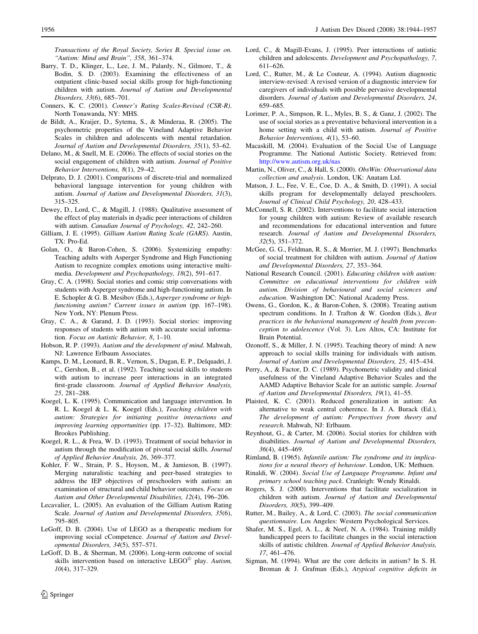<span id="page-12-0"></span>Transactions of the Royal Society, Series B. Special issue on. ''Autism: Mind and Brain'', 358, 361–374.

- Barry, T. D., Klinger, L., Lee, J. M., Palardy, N., Gilmore, T., & Bodin, S. D. (2003). Examining the effectiveness of an outpatient clinic-based social skills group for high-functioning children with autism. Journal of Autism and Developmental Disorders, 33(6), 685–701.
- Conners, K. C. (2001). Conner's Rating Scales-Revised (CSR-R). North Tonawanda, NY: MHS.
- de Bildt, A., Kraijer, D., Sytema, S., & Minderaa, R. (2005). The psychometric properties of the Vineland Adaptive Behavior Scales in children and adolescents with mental retardation. Journal of Autism and Developmental Disorders, 35(1), 53–62.
- Delano, M., & Snell, M. E. (2006). The effects of social stories on the social engagement of children with autism. Journal of Positive Behavior Interventions, 8(1), 29–42.
- Delprato, D. J. (2001). Comparisons of discrete-trial and normalized behavioral language intervention for young children with autism. Journal of Autism and Developmental Disorders, 31(3), 315–325.
- Dewey, D., Lord, C., & Magill, J. (1988). Qualitative assessment of the effect of play materials in dyadic peer interactions of children with autism. Canadian Journal of Psychology, 42, 242–260.
- Gilliam, J. E. (1995). Gilliam Autism Rating Scale (GARS). Austin, TX: Pro-Ed.
- Golan, O., & Baron-Cohen, S. (2006). Systemizing empathy: Teaching adults with Asperger Syndrome and High Functioning Autism to recognize complex emotions using interactive multimedia. Development and Psychopathology, 18(2), 591–617.
- Gray, C. A. (1998). Social stories and comic strip conversations with students with Asperger syndrome and high-functioning autism. In E. Schopler & G. B. Mesibov (Eds.), Asperger syndrome or highfunctioning autism? Current issues in autism (pp. 167-198). New York, NY: Plenum Press.
- Gray, C. A., & Garand, J. D. (1993). Social stories: improving responses of students with autism with accurate social information. Focus on Autistic Behavior, 8, 1–10.
- Hobson, R. P. (1993). Autism and the development of mind. Mahwah, NJ: Lawrence Erlbaum Associates.
- Kamps, D. M., Leonard, B. R., Vernon, S., Dugan, E. P., Delquadri, J. C., Gershon, B., et al. (1992). Teaching social skills to students with autism to increase peer interactions in an integrated first-grade classroom. Journal of Applied Behavior Analysis, 25, 281–288.
- Koegel, L. K. (1995). Communication and language intervention. In R. L. Koegel & L. K. Koegel (Eds.), Teaching children with autism: Strategies for initiating positive interactions and improving learning opportunities (pp. 17–32). Baltimore, MD: Brookes Publishing.
- Koegel, R. L., & Frea, W. D. (1993). Treatment of social behavior in autism through the modification of pivotal social skills. Journal of Applied Behavior Analysis, 26, 369–377.
- Kohler, F. W., Strain, P. S., Hoyson, M., & Jamieson, B. (1997). Merging naturalistic teaching and peer-based strategies to address the IEP objectives of preschoolers with autism: an examination of structural and child behavior outcomes. Focus on Autism and Other Developmental Disabilities, 12(4), 196–206.
- Lecavalier, L. (2005). An evaluation of the Gilliam Autism Rating Scale. Journal of Autism and Developmental Disorders, 35(6), 795–805.
- LeGoff, D. B. (2004). Use of LEGO as a therapeutic medium for improving social cCompetence. Journal of Autism and Developmental Disorders, 34(5), 557–571.
- LeGoff, D. B., & Sherman, M. (2006). Long-term outcome of social skills intervention based on interactive  $LEGO^{\circledcirc}$  play. Autism, 10(4), 317–329.
- Lord, C., & Magill-Evans, J. (1995). Peer interactions of autistic children and adolescents. Development and Psychopathology, 7, 611–626.
- Lord, C., Rutter, M., & Le Couteur, A. (1994). Autism diagnostic interview-revised: A revised version of a diagnostic interview for caregivers of individuals with possible pervasive developmental disorders. Journal of Autism and Developmental Disorders, 24, 659–685.
- Lorimer, P. A., Simpson, R. L., Myles, B. S., & Ganz, J. (2002). The use of social stories as a preventative behavioral intervention in a home setting with a child with autism. Journal of Positive Behavior Interventions, 4(1), 53–60.
- Macaskill, M. (2004). Evaluation of the Social Use of Language Programme. The National Autistic Society. Retrieved from: <http://www.autism.org.uk/nas>
- Martin, N., Oliver, C., & Hall, S. (2000). ObsWin: Observational data collection and analysis. London, UK: Anatam Ltd.
- Matson, J. L., Fee, V. E., Coe, D. A., & Smith, D. (1991). A social skills program for developmentally delayed preschoolers. Journal of Clinical Child Psychology, 20, 428–433.
- McConnell, S. R. (2002). Interventions to facilitate social interaction for young children with autism: Review of available research and recommendations for educational intervention and future research. Journal of Autism and Developmental Disorders, 32(5), 351–372.
- McGee, G. G., Feldman, R. S., & Morrier, M. J. (1997). Benchmarks of social treatment for children with autism. Journal of Autism and Developmental Disorders, 27, 353–364.
- National Research Council. (2001). Educating children with autism: Committee on educational interventions for children with autism. Division of behavioural and social sciences and education. Washington DC: National Academy Press.
- Owens, G., Gordon, K., & Baron-Cohen, S. (2008). Treating autism spectrum conditions. In J. Trafton & W. Gordon (Eds.), Best practices in the behavioral management of health from preconception to adolescence (Vol. 3). Los Altos, CA: Institute for Brain Potential.
- Ozonoff, S., & Miller, J. N. (1995). Teaching theory of mind: A new approach to social skills training for individuals with autism. Journal of Autism and Developmental Disorders, 25, 415–434.
- Perry, A., & Factor, D. C. (1989). Psychometric validity and clinical usefulness of the Vineland Adaptive Behavior Scales and the AAMD Adaptive Behavior Scale for an autistic sample. Journal of Autism and Developmental Disorders, 19(1), 41–55.
- Plaisted, K. C. (2001). Reduced generalization in autism: An alternative to weak central coherence. In J. A. Burack (Ed.), The development of autism: Perspectives from theory and research. Mahwah, NJ: Erlbaum.
- Reynhout, G., & Carter, M. (2006). Social stories for children with disabilities. Journal of Autism and Developmental Disorders, 36(4), 445–469.
- Rimland, B. (1965). Infantile autism: The syndrome and its implications for a neural theory of behaviour. London, UK: Methuen.
- Rinaldi, W. (2004). Social Use of Language Programme. Infant and primary school teaching pack. Cranleigh: Wendy Rinaldi.
- Rogers, S. J. (2000). Interventions that facilitate socialization in children with autism. Journal of Autism and Developmental Disorders, 30(5), 399–409.
- Rutter, M., Bailey, A., & Lord, C. (2003). The social communication questionnaire. Los Angeles: Western Psychological Services.
- Shafer, M. S., Egel, A. L., & Neef, N. A. (1984). Training mildly handicapped peers to facilitate changes in the social interaction skills of autistic children. Journal of Applied Behavior Analysis, 17, 461–476.
- Sigman, M. (1994). What are the core deficits in autism? In S. H. Broman & J. Grafman (Eds.), Atypical cognitive deficits in